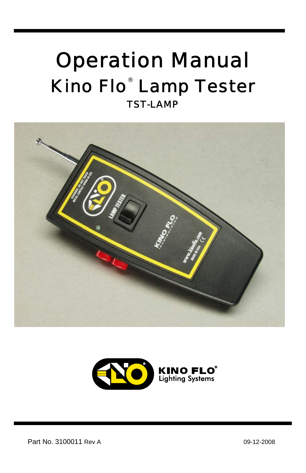## Operation Manual Kino Flo<sup>®</sup> Lamp Tester TST-LAMP

I





Part No. 3100011 Rev A 09-12-2008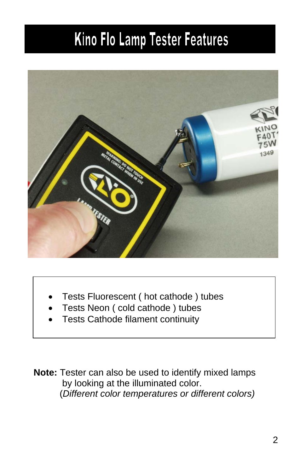# Kino Flo Lamp Tester Features



- Tests Fluorescent ( hot cathode ) tubes
- Tests Neon ( cold cathode ) tubes
- Tests Cathode filament continuity

**Note:** Tester can also be used to identify mixed lamps by looking at the illuminated color. (*Different color temperatures or different colors)*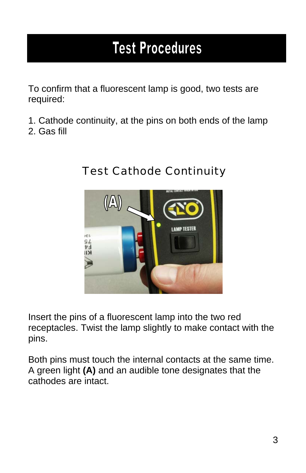### **Test Procedures**

To confirm that a fluorescent lamp is good, two tests are required:

- 1. Cathode continuity, at the pins on both ends of the lamp
- 2. Gas fill



#### Test Cathode Continuity

Insert the pins of a fluorescent lamp into the two red receptacles. Twist the lamp slightly to make contact with the pins.

Both pins must touch the internal contacts at the same time. A green light **(A)** and an audible tone designates that the cathodes are intact.